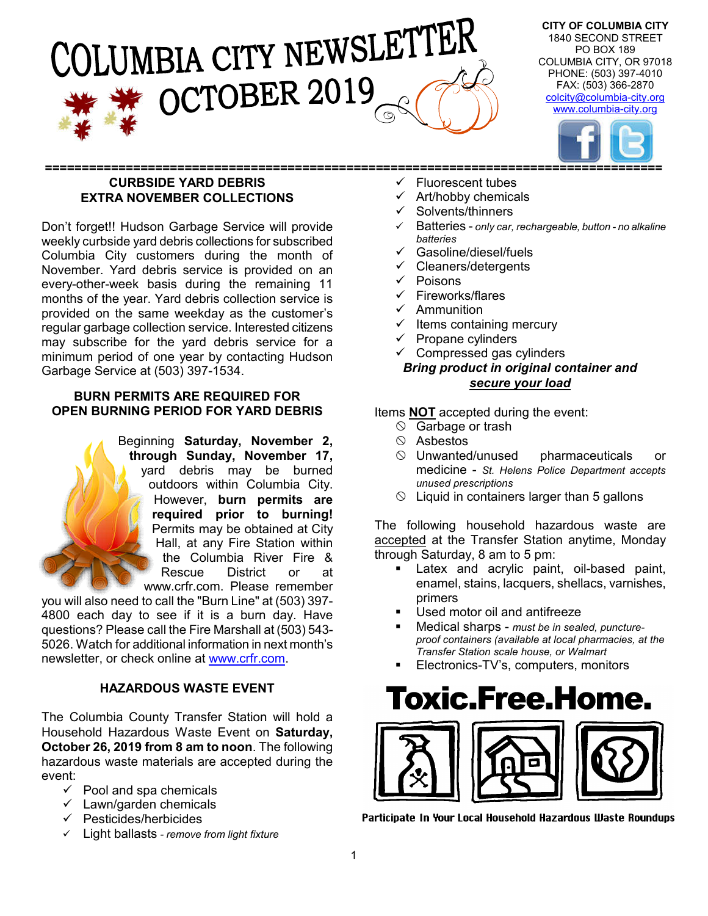# ILUMBIA CITY NEWSLETTER OCTOBER 2019

**CITY OF COLUMBIA CITY** 1840 SECOND STREET PO BOX 189 COLUMBIA CITY, OR 97018 PHONE: (503) 397-4010 FAX: (503) 366-2870 colcity@columbia-city.org www.columbia-city.org



#### **==================================================================================== CURBSIDE YARD DEBRIS EXTRA NOVEMBER COLLECTIONS**

Don't forget!! Hudson Garbage Service will provide weekly curbside yard debris collections for subscribed Columbia City customers during the month of November. Yard debris service is provided on an every-other-week basis during the remaining 11 months of the year. Yard debris collection service is provided on the same weekday as the customer's regular garbage collection service. Interested citizens may subscribe for the yard debris service for a minimum period of one year by contacting Hudson Garbage Service at (503) 397-1534.

#### **BURN PERMITS ARE REQUIRED FOR OPEN BURNING PERIOD FOR YARD DEBRIS**

Beginning **Saturday, November 2, through Sunday, November 17,** yard debris may be burned outdoors within Columbia City. However, **burn permits are required prior to burning!**  Permits may be obtained at City Hall, at any Fire Station within the Columbia River Fire & Rescue District or at www.crfr.com. Please remember

you will also need to call the "Burn Line" at (503) 397- 4800 each day to see if it is a burn day. Have questions? Please call the Fire Marshall at (503) 543- 5026. Watch for additional information in next month's newsletter, or check online at www.crfr.com.

#### **HAZARDOUS WASTE EVENT**

The Columbia County Transfer Station will hold a Household Hazardous Waste Event on **Saturday, October 26, 2019 from 8 am to noon**. The following hazardous waste materials are accepted during the event:

- $\checkmark$  Pool and spa chemicals
- $\checkmark$  Lawn/garden chemicals
- $\checkmark$  Pesticides/herbicides
- Light ballasts *- remove from light fixture*
- Fluorescent tubes
- Art/hobby chemicals
- Solvents/thinners
- Batteries *only car, rechargeable, button - no alkaline batteries*
- Gasoline/diesel/fuels
- Cleaners/detergents
- $\checkmark$  Poisons
- $\checkmark$  Fireworks/flares
- $\checkmark$  Ammunition
- Items containing mercury
- Propane cylinders
- $\checkmark$  Compressed gas cylinders *Bring product in original container and secure your load*

Items **NOT** accepted during the event:

- $\circ$  Garbage or trash
- $\circledcirc$  Asbestos
- $\circledcirc$  Unwanted/unused pharmaceuticals or medicine - *St. Helens Police Department accepts unused prescriptions*
- $\Diamond$  Liquid in containers larger than 5 gallons

The following household hazardous waste are accepted at the Transfer Station anytime, Monday through Saturday, 8 am to 5 pm:

- Latex and acrylic paint, oil-based paint, enamel, stains, lacquers, shellacs, varnishes, primers
- Used motor oil and antifreeze
- Medical sharps *must be in sealed, punctureproof containers (available at local pharmacies, at the Transfer Station scale house, or Walmart*
- Electronics-TV's, computers, monitors

### Toxic.Free.Home.



Participate In Your Local Household Hazardous Waste Roundups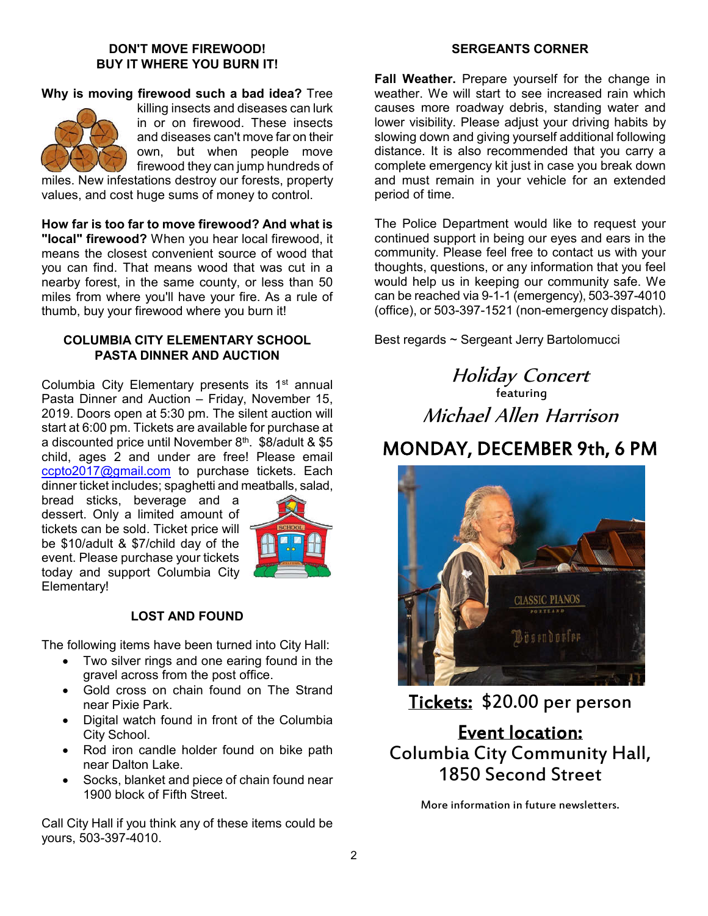#### **DON'T MOVE FIREWOOD! BUY IT WHERE YOU BURN IT!**

#### **Why is moving firewood such a bad idea?** Tree



killing insects and diseases can lurk in or on firewood. These insects and diseases can't move far on their own, but when people move firewood they can jump hundreds of

miles. New infestations destroy our forests, property values, and cost huge sums of money to control.

**How far is too far to move firewood? And what is "local" firewood?** When you hear local firewood, it means the closest convenient source of wood that you can find. That means wood that was cut in a nearby forest, in the same county, or less than 50 miles from where you'll have your fire. As a rule of thumb, buy your firewood where you burn it!

#### **COLUMBIA CITY ELEMENTARY SCHOOL PASTA DINNER AND AUCTION**

Columbia City Elementary presents its 1<sup>st</sup> annual Pasta Dinner and Auction – Friday, November 15, 2019. Doors open at 5:30 pm. The silent auction will start at 6:00 pm. Tickets are available for purchase at a discounted price until November 8th. \$8/adult & \$5 child, ages 2 and under are free! Please email ccpto2017@gmail.com to purchase tickets. Each dinner ticket includes; spaghetti and meatballs, salad,

bread sticks, beverage and a dessert. Only a limited amount of tickets can be sold. Ticket price will be \$10/adult & \$7/child day of the event. Please purchase your tickets today and support Columbia City Elementary!



#### **LOST AND FOUND**

The following items have been turned into City Hall:

- Two silver rings and one earing found in the gravel across from the post office.
- Gold cross on chain found on The Strand near Pixie Park.
- Digital watch found in front of the Columbia City School.
- Rod iron candle holder found on bike path near Dalton Lake.
- Socks, blanket and piece of chain found near 1900 block of Fifth Street.

Call City Hall if you think any of these items could be yours, 503-397-4010.

#### **SERGEANTS CORNER**

**Fall Weather.** Prepare yourself for the change in weather. We will start to see increased rain which causes more roadway debris, standing water and lower visibility. Please adjust your driving habits by slowing down and giving yourself additional following distance. It is also recommended that you carry a complete emergency kit just in case you break down and must remain in your vehicle for an extended period of time.

The Police Department would like to request your continued support in being our eyes and ears in the community. Please feel free to contact us with your thoughts, questions, or any information that you feel would help us in keeping our community safe. We can be reached via 9-1-1 (emergency), 503-397-4010 (office), or 503-397-1521 (non-emergency dispatch).

Best regards ~ Sergeant Jerry Bartolomucci

Holiday Concert featuring Michael Allen Harrison

### MONDAY, DECEMBER 9th, 6 PM



Tickets: \$20.00 per person

Event location: Columbia City Community Hall, 1850 Second Street

More information in future newsletters.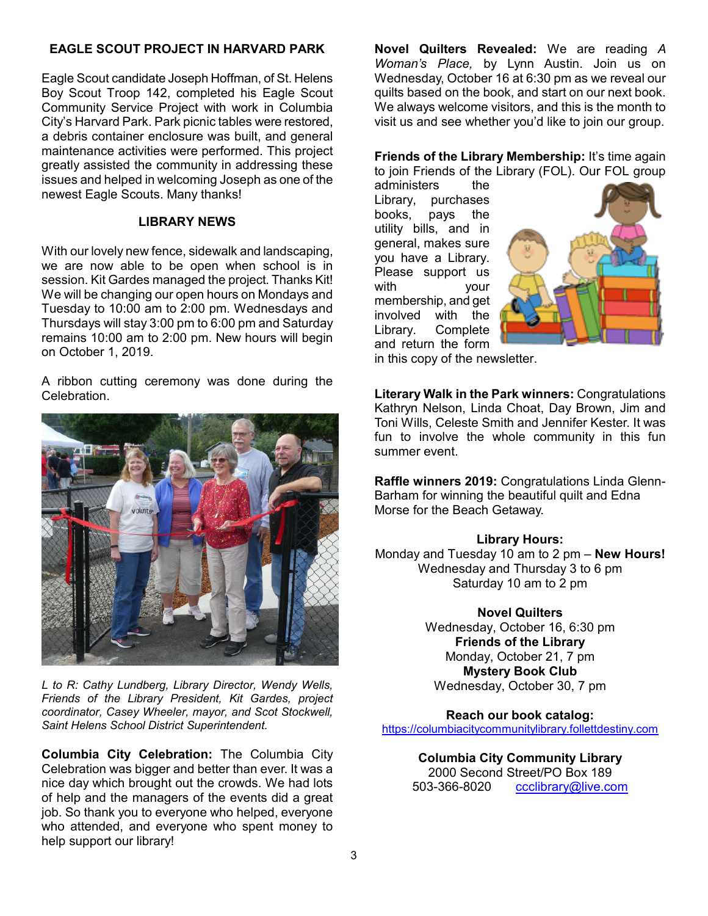#### **EAGLE SCOUT PROJECT IN HARVARD PARK**

Eagle Scout candidate Joseph Hoffman, of St. Helens Boy Scout Troop 142, completed his Eagle Scout Community Service Project with work in Columbia City's Harvard Park. Park picnic tables were restored, a debris container enclosure was built, and general maintenance activities were performed. This project greatly assisted the community in addressing these issues and helped in welcoming Joseph as one of the newest Eagle Scouts. Many thanks!

#### **LIBRARY NEWS**

With our lovely new fence, sidewalk and landscaping, we are now able to be open when school is in session. Kit Gardes managed the project. Thanks Kit! We will be changing our open hours on Mondays and Tuesday to 10:00 am to 2:00 pm. Wednesdays and Thursdays will stay 3:00 pm to 6:00 pm and Saturday remains 10:00 am to 2:00 pm. New hours will begin on October 1, 2019.

A ribbon cutting ceremony was done during the Celebration.



*L to R: Cathy Lundberg, Library Director, Wendy Wells, Friends of the Library President, Kit Gardes, project coordinator, Casey Wheeler, mayor, and Scot Stockwell, Saint Helens School District Superintendent.*

**Columbia City Celebration:** The Columbia City Celebration was bigger and better than ever. It was a nice day which brought out the crowds. We had lots of help and the managers of the events did a great job. So thank you to everyone who helped, everyone who attended, and everyone who spent money to help support our library!

**Novel Quilters Revealed:** We are reading *A Woman's Place,* by Lynn Austin. Join us on Wednesday, October 16 at 6:30 pm as we reveal our quilts based on the book, and start on our next book. We always welcome visitors, and this is the month to visit us and see whether you'd like to join our group.

#### **Friends of the Library Membership:** It's time again to join Friends of the Library (FOL). Our FOL group

administers the Library, purchases books, pays the utility bills, and in general, makes sure you have a Library. Please support us with your membership, and get involved with the Library. Complete and return the form



in this copy of the newsletter.

**Literary Walk in the Park winners:** Congratulations Kathryn Nelson, Linda Choat, Day Brown, Jim and Toni Wills, Celeste Smith and Jennifer Kester. It was fun to involve the whole community in this fun summer event.

**Raffle winners 2019:** Congratulations Linda Glenn-Barham for winning the beautiful quilt and Edna Morse for the Beach Getaway.

#### **Library Hours:**

Monday and Tuesday 10 am to 2 pm – **New Hours!** Wednesday and Thursday 3 to 6 pm Saturday 10 am to 2 pm

#### **Novel Quilters**

Wednesday, October 16, 6:30 pm **Friends of the Library** Monday, October 21, 7 pm **Mystery Book Club** Wednesday, October 30, 7 pm

**Reach our book catalog:** https://columbiacitycommunitylibrary.follettdestiny.com

> **Columbia City Community Library** 2000 Second Street/PO Box 189 503-366-8020 ccclibrary@live.com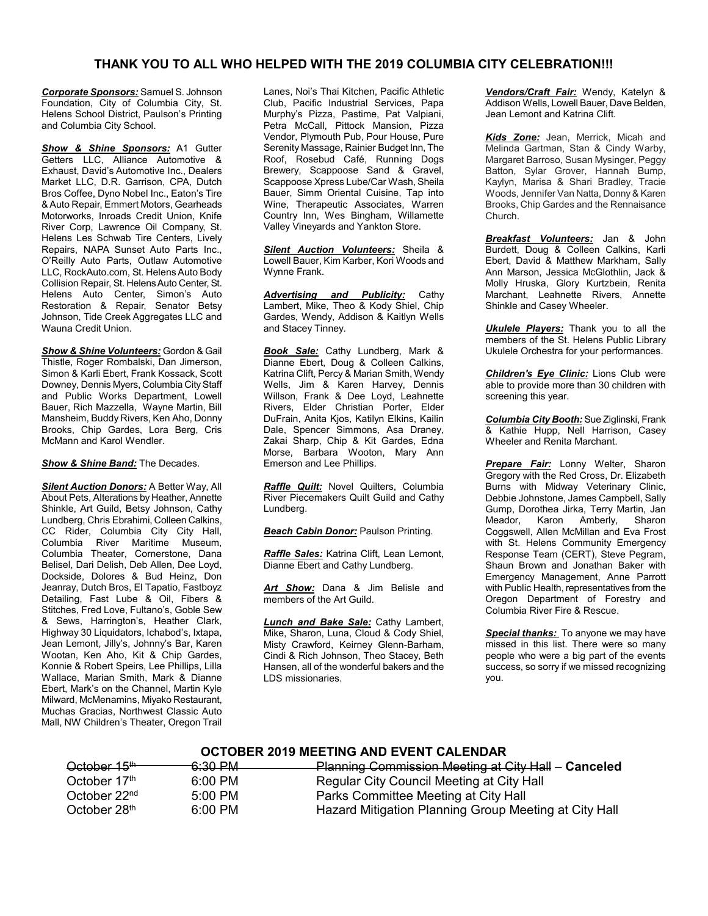#### **THANK YOU TO ALL WHO HELPED WITH THE 2019 COLUMBIA CITY CELEBRATION!!!**

*Corporate Sponsors:* Samuel S. Johnson Foundation, City of Columbia City, St. Helens School District, Paulson's Printing and Columbia City School.

**Show & Shine Sponsors:** A1 Gutter Getters LLC, Alliance Automotive & Exhaust, David's Automotive Inc., Dealers Market LLC, D.R. Garrison, CPA, Dutch Bros Coffee, Dyno Nobel Inc., Eaton's Tire & Auto Repair, Emmert Motors, Gearheads Motorworks, Inroads Credit Union, Knife River Corp, Lawrence Oil Company, St. Helens Les Schwab Tire Centers, Lively Repairs, NAPA Sunset Auto Parts Inc., O'Reilly Auto Parts, Outlaw Automotive LLC, RockAuto.com, St. Helens Auto Body Collision Repair, St. Helens Auto Center, St. Helens Auto Center, Simon's Auto Restoration & Repair, Senator Betsy Johnson, Tide Creek Aggregates LLC and Wauna Credit Union.

*Show & Shine Volunteers:* Gordon & Gail Thistle, Roger Rombalski, Dan Jimerson, Simon & Karli Ebert, Frank Kossack, Scott Downey, Dennis Myers, Columbia City Staff and Public Works Department, Lowell Bauer, Rich Mazzella, Wayne Martin, Bill Mansheim, Buddy Rivers, Ken Aho, Donny Brooks, Chip Gardes, Lora Berg, Cris McMann and Karol Wendler.

*Show & Shine Band:* The Decades.

*Silent Auction Donors:* A Better Way, All About Pets, Alterations by Heather, Annette Shinkle, Art Guild, Betsy Johnson, Cathy Lundberg, Chris Ebrahimi, Colleen Calkins, CC Rider, Columbia City City Hall, Columbia River Maritime Museum, Columbia Theater, Cornerstone, Dana Belisel, Dari Delish, Deb Allen, Dee Loyd, Dockside, Dolores & Bud Heinz, Don Jeanray, Dutch Bros, El Tapatio, Fastboyz Detailing, Fast Lube & Oil, Fibers & Stitches, Fred Love, Fultano's, Goble Sew & Sews, Harrington's, Heather Clark, Highway 30 Liquidators, Ichabod's, Ixtapa, Jean Lemont, Jilly's, Johnny's Bar, Karen Wootan, Ken Aho, Kit & Chip Gardes, Konnie & Robert Speirs, Lee Phillips, Lilla Wallace, Marian Smith, Mark & Dianne Ebert, Mark's on the Channel, Martin Kyle Milward, McMenamins, Miyako Restaurant, Muchas Gracias, Northwest Classic Auto Mall, NW Children's Theater, Oregon Trail

Lanes, Noi's Thai Kitchen, Pacific Athletic Club, Pacific Industrial Services, Papa Murphy's Pizza, Pastime, Pat Valpiani, Petra McCall, Pittock Mansion, Pizza Vendor, Plymouth Pub, Pour House, Pure Serenity Massage, Rainier Budget Inn, The Roof, Rosebud Café, Running Dogs Brewery, Scappoose Sand & Gravel, Scappoose Xpress Lube/Car Wash, Sheila Bauer, Simm Oriental Cuisine, Tap into Wine, Therapeutic Associates, Warren Country Inn, Wes Bingham, Willamette Valley Vineyards and Yankton Store.

*Silent Auction Volunteers:* Sheila & Lowell Bauer, Kim Karber, Kori Woods and Wynne Frank.

*Advertising and Publicity:* Cathy Lambert, Mike, Theo & Kody Shiel, Chip Gardes, Wendy, Addison & Kaitlyn Wells and Stacey Tinney.

*Book Sale:* Cathy Lundberg, Mark & Dianne Ebert, Doug & Colleen Calkins, Katrina Clift, Percy & Marian Smith, Wendy Wells, Jim & Karen Harvey, Dennis Willson, Frank & Dee Loyd, Leahnette Rivers, Elder Christian Porter, Elder DuFrain, Anita Kjos, Katilyn Elkins, Kailin Dale, Spencer Simmons, Asa Draney, Zakai Sharp, Chip & Kit Gardes, Edna Morse, Barbara Wooton, Mary Ann Emerson and Lee Phillips.

*Raffle Quilt:* Novel Quilters, Columbia River Piecemakers Quilt Guild and Cathy Lundberg.

**Beach Cabin Donor:** Paulson Printing.

*Raffle Sales:* Katrina Clift, Lean Lemont, Dianne Ebert and Cathy Lundberg.

*Art Show:* Dana & Jim Belisle and members of the Art Guild.

*Lunch and Bake Sale:* Cathy Lambert, Mike, Sharon, Luna, Cloud & Cody Shiel, Misty Crawford, Keirney Glenn-Barham, Cindi & Rich Johnson, Theo Stacey, Beth Hansen, all of the wonderful bakers and the LDS missionaries.

*Vendors/Craft Fair:* Wendy, Katelyn & Addison Wells, Lowell Bauer, Dave Belden, Jean Lemont and Katrina Clift.

*Kids Zone:* Jean, Merrick, Micah and Melinda Gartman, Stan & Cindy Warby, Margaret Barroso, Susan Mysinger, Peggy Batton, Sylar Grover, Hannah Bump, Kaylyn, Marisa & Shari Bradley, Tracie Woods, Jennifer Van Natta, Donny & Karen Brooks, Chip Gardes and the Rennaisance Church.

*Breakfast Volunteers:* Jan & John Burdett, Doug & Colleen Calkins, Karli Ebert, David & Matthew Markham, Sally Ann Marson, Jessica McGlothlin, Jack & Molly Hruska, Glory Kurtzbein, Renita Marchant, Leahnette Rivers, Annette Shinkle and Casey Wheeler.

*Ukulele Players:* Thank you to all the members of the St. Helens Public Library Ukulele Orchestra for your performances.

*Children's Eye Clinic:* Lions Club were able to provide more than 30 children with screening this year.

*Columbia City Booth:* Sue Ziglinski, Frank & Kathie Hupp, Nell Harrison, Casey Wheeler and Renita Marchant.

*Prepare Fair:* Lonny Welter, Sharon Gregory with the Red Cross, Dr. Elizabeth Burns with Midway Veterinary Clinic, Debbie Johnstone, James Campbell, Sally Gump, Dorothea Jirka, Terry Martin, Jan Amberly, Coggswell, Allen McMillan and Eva Frost with St. Helens Community Emergency Response Team (CERT), Steve Pegram, Shaun Brown and Jonathan Baker with Emergency Management, Anne Parrott with Public Health, representatives from the Oregon Department of Forestry and Columbia River Fire & Rescue.

*Special thanks:* To anyone we may have missed in this list. There were so many people who were a big part of the events success, so sorry if we missed recognizing you.

#### **OCTOBER 2019 MEETING AND EVENT CALENDAR**

| October 15 <sup>th-1</sup> | <del>.6:30 PM</del> | Planning Commission Meeting at City Hall - Canceled   |
|----------------------------|---------------------|-------------------------------------------------------|
| October 17th               | 6:00 PM             | Regular City Council Meeting at City Hall             |
| October 22 <sup>nd</sup>   | $5:00 \text{ PM}$   | Parks Committee Meeting at City Hall                  |
| October 28th               | $6:00 \, \text{PM}$ | Hazard Mitigation Planning Group Meeting at City Hall |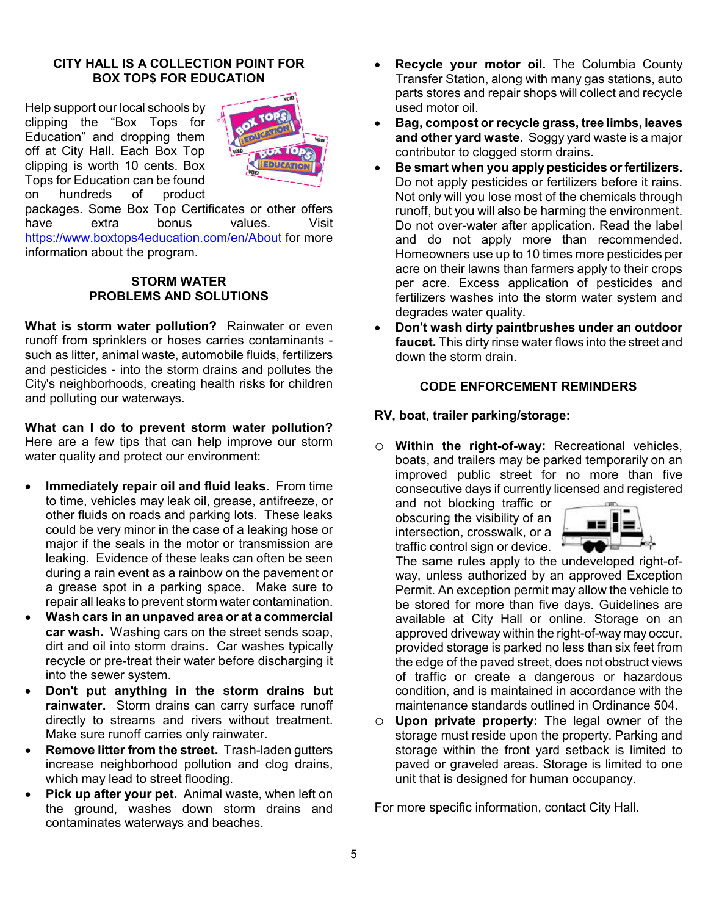#### **CITY HALL IS A COLLECTION POINT FOR BOX TOP\$ FOR EDUCATION**

Help support our local schools by clipping the "Box Tops for Education" and dropping them off at City Hall. Each Box Top clipping is worth 10 cents. Box Tops for Education can be found on hundreds of product



packages. Some Box Top Certificates or other offers have extra bonus values. Visit https://www.boxtops4education.com/en/About for more information about the program.

#### **STORM WATER PROBLEMS AND SOLUTIONS**

**What is storm water pollution?** Rainwater or even runoff from sprinklers or hoses carries contaminants such as litter, animal waste, automobile fluids, fertilizers and pesticides - into the storm drains and pollutes the City's neighborhoods, creating health risks for children and polluting our waterways.

**What can I do to prevent storm water pollution?** Here are a few tips that can help improve our storm water quality and protect our environment:

- **Immediately repair oil and fluid leaks.** From time to time, vehicles may leak oil, grease, antifreeze, or other fluids on roads and parking lots. These leaks could be very minor in the case of a leaking hose or major if the seals in the motor or transmission are leaking. Evidence of these leaks can often be seen during a rain event as a rainbow on the pavement or a grease spot in a parking space. Make sure to repair all leaks to prevent storm water contamination.
- **Wash cars in an unpaved area or at a commercial car wash.** Washing cars on the street sends soap, dirt and oil into storm drains. Car washes typically recycle or pre-treat their water before discharging it into the sewer system.
- **Don't put anything in the storm drains but rainwater.** Storm drains can carry surface runoff directly to streams and rivers without treatment. Make sure runoff carries only rainwater.
- **Remove litter from the street.** Trash-laden gutters increase neighborhood pollution and clog drains, which may lead to street flooding.
- **Pick up after your pet.** Animal waste, when left on the ground, washes down storm drains and contaminates waterways and beaches.
- **Recycle your motor oil.** The Columbia County Transfer Station, along with many gas stations, auto parts stores and repair shops will collect and recycle used motor oil.
- **Bag, compost or recycle grass, tree limbs, leaves and other yard waste.** Soggy yard waste is a major contributor to clogged storm drains.
- **Be smart when you apply pesticides or fertilizers.**  Do not apply pesticides or fertilizers before it rains. Not only will you lose most of the chemicals through runoff, but you will also be harming the environment. Do not over-water after application. Read the label and do not apply more than recommended. Homeowners use up to 10 times more pesticides per acre on their lawns than farmers apply to their crops per acre. Excess application of pesticides and fertilizers washes into the storm water system and degrades water quality.
- **Don't wash dirty paintbrushes under an outdoor faucet.** This dirty rinse water flows into the street and down the storm drain.

#### **CODE ENFORCEMENT REMINDERS**

#### **RV, boat, trailer parking/storage:**

o **Within the right-of-way:** Recreational vehicles, boats, and trailers may be parked temporarily on an improved public street for no more than five consecutive days if currently licensed and registered

and not blocking traffic or obscuring the visibility of an intersection, crosswalk, or a traffic control sign or device.



The same rules apply to the undeveloped right-ofway, unless authorized by an approved Exception Permit. An exception permit may allow the vehicle to be stored for more than five days. Guidelines are available at City Hall or online. Storage on an approved driveway within the right-of-way may occur, provided storage is parked no less than six feet from the edge of the paved street, does not obstruct views of traffic or create a dangerous or hazardous condition, and is maintained in accordance with the maintenance standards outlined in Ordinance 504.

o **Upon private property:** The legal owner of the storage must reside upon the property. Parking and storage within the front yard setback is limited to paved or graveled areas. Storage is limited to one unit that is designed for human occupancy.

For more specific information, contact City Hall.